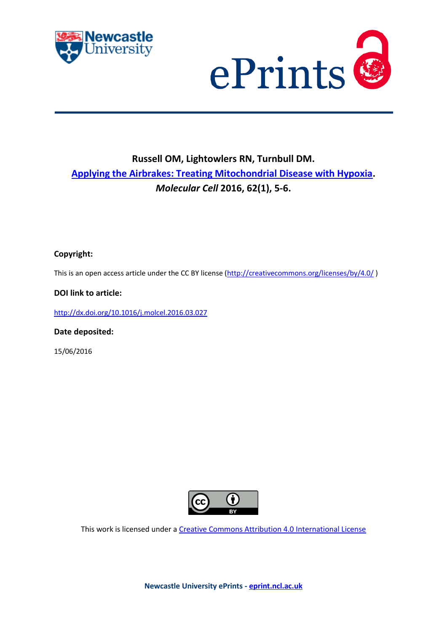



## **Russell OM, Lightowlers RN, Turnbull DM. [Applying the Airbrakes: Treating Mitochondrial Disease with Hypoxia.](javascript:ViewPublication(224715);)**  *Molecular Cell* **2016, 62(1), 5-6.**

## **Copyright:**

This is an open access article under the CC BY license [\(http://creativecommons.org/licenses/by/4.0/](http://creativecommons.org/licenses/by/4.0/))

### **DOI link to article:**

<http://dx.doi.org/10.1016/j.molcel.2016.03.027>

**Date deposited:** 

15/06/2016



This work is licensed under [a Creative Commons Attribution 4.0 International License](http://creativecommons.org/licenses/by/4.0/)

**Newcastle University ePrints - [eprint.ncl.ac.uk](http://eprint.ncl.ac.uk/)**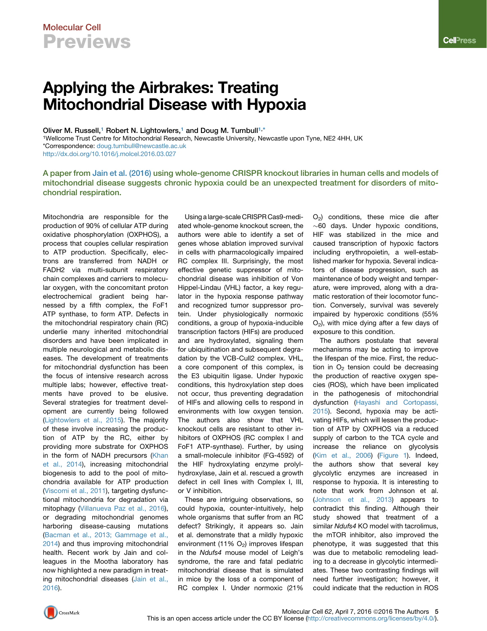# Molecular Cell **Previews**

# Applying the Airbrakes: Treating Mitochondrial Disease with Hypoxia

Oliver M. Russell,<sup>[1](#page-1-0)</sup> Robert N. Lightowlers,<sup>1</sup> and Doug M. Turnbull<sup>[1,](#page-1-0)[\\*](#page-1-1)</sup>

<span id="page-1-1"></span><span id="page-1-0"></span>1Wellcome Trust Centre for Mitochondrial Research, Newcastle University, Newcastle upon Tyne, NE2 4HH, UK \*Correspondence: [doug.turnbull@newcastle.ac.uk](mailto:doug.turnbull@newcastle.ac.uk)

<http://dx.doi.org/10.1016/j.molcel.2016.03.027>

A paper from [Jain et al. \(2016\)](#page-2-0) using whole-genome CRISPR knockout libraries in human cells and models of mitochondrial disease suggests chronic hypoxia could be an unexpected treatment for disorders of mitochondrial respiration.

Mitochondria are responsible for the production of 90% of cellular ATP during oxidative phosphorylation (OXPHOS), a process that couples cellular respiration to ATP production. Specifically, electrons are transferred from NADH or FADH2 via multi-subunit respiratory chain complexes and carriers to molecular oxygen, with the concomitant proton electrochemical gradient being harnessed by a fifth complex, the FoF1 ATP synthase, to form ATP. Defects in the mitochondrial respiratory chain (RC) underlie many inherited mitochondrial disorders and have been implicated in multiple neurological and metabolic diseases. The development of treatments for mitochondrial dysfunction has been the focus of intensive research across multiple labs; however, effective treatments have proved to be elusive. Several strategies for treatment development are currently being followed [\(Lightowlers et al., 2015](#page-2-1)). The majority of these involve increasing the production of ATP by the RC, either by providing more substrate for OXPHOS in the form of NADH precursors ([Khan](#page-2-2) [et al., 2014\)](#page-2-2), increasing mitochondrial biogenesis to add to the pool of mitochondria available for ATP production [\(Viscomi et al., 2011](#page-2-3)), targeting dysfunctional mitochondria for degradation via mitophagy [\(Villanueva Paz et al., 2016\)](#page-2-4), or degrading mitochondrial genomes harboring disease-causing mutations [\(Bacman et al., 2013; Gammage et al.,](#page-2-5) [2014](#page-2-5)) and thus improving mitochondrial health. Recent work by Jain and colleagues in the Mootha laboratory has now highlighted a new paradigm in treating mitochondrial diseases ([Jain et al.,](#page-2-0) [2016](#page-2-0)).

Using a large-scale CRISPR Cas9-mediated whole-genome knockout screen, the authors were able to identify a set of genes whose ablation improved survival in cells with pharmacologically impaired RC complex III. Surprisingly, the most effective genetic suppressor of mitochondrial disease was inhibition of Von Hippel-Lindau (VHL) factor, a key regulator in the hypoxia response pathway and recognized tumor suppressor protein. Under physiologically normoxic conditions, a group of hypoxia-inducible transcription factors (HIFs) are produced and are hydroxylated, signaling them for ubiquitination and subsequent degradation by the VCB-Cull2 complex. VHL, a core component of this complex, is the E3 ubiquitin ligase. Under hypoxic conditions, this hydroxylation step does not occur, thus preventing degradation of HIFs and allowing cells to respond in environments with low oxygen tension. The authors also show that VHL knockout cells are resistant to other inhibitors of OXPHOS (RC complex I and FoF1 ATP-synthase). Further, by using a small-molecule inhibitor (FG-4592) of the HIF hydroxylating enzyme prolylhydroxylase, Jain et al. rescued a growth defect in cell lines with Complex I, III, or V inhibition.

These are intriguing observations, so could hypoxia, counter-intuitively, help whole organisms that suffer from an RC defect? Strikingly, it appears so. Jain et al. demonstrate that a mildly hypoxic environment (11%  $O<sub>2</sub>$ ) improves lifespan in the *Ndufs4* mouse model of Leigh's syndrome, the rare and fatal pediatric mitochondrial disease that is simulated in mice by the loss of a component of RC complex I. Under normoxic (21%

O2) conditions, these mice die after  $\sim$  60 days. Under hypoxic conditions, HIF was stabilized in the mice and caused transcription of hypoxic factors including erythropoietin, a well-established marker for hypoxia. Several indicators of disease progression, such as maintenance of body weight and temperature, were improved, along with a dramatic restoration of their locomotor function. Conversely, survival was severely impaired by hyperoxic conditions (55%  $O<sub>2</sub>$ ), with mice dying after a few days of exposure to this condition.

The authors postulate that several mechanisms may be acting to improve the lifespan of the mice. First, the reduction in  $O<sub>2</sub>$  tension could be decreasing the production of reactive oxygen species (ROS), which have been implicated in the pathogenesis of mitochondrial dysfunction [\(Hayashi and Cortopassi,](#page-2-6) [2015\)](#page-2-6). Second, hypoxia may be activating HIFs, which will lessen the production of ATP by OXPHOS via a reduced supply of carbon to the TCA cycle and increase the reliance on glycolysis [\(Kim et al., 2006\)](#page-2-7) [\(Figure 1](#page-2-8)). Indeed, the authors show that several key glycolytic enzymes are increased in response to hypoxia. It is interesting to note that work from Johnson et al. [\(Johnson et al., 2013](#page-2-9)) appears to contradict this finding. Although their study showed that treatment of a similar *Ndufs4* KO model with tacrolimus, the mTOR inhibitor, also improved the phenotype, it was suggested that this was due to metabolic remodeling leading to a decrease in glycolytic intermediates. These two contrasting findings will need further investigation; however, it could indicate that the reduction in ROS

Molecular Cell 62, April 7, 2016 ©2016 The Authors 5 This is an open access article under the CC BY license ([http://creativecommons.org/licenses/by/4.0/\)](http://creativecommons.org/licenses/by/4.0/).